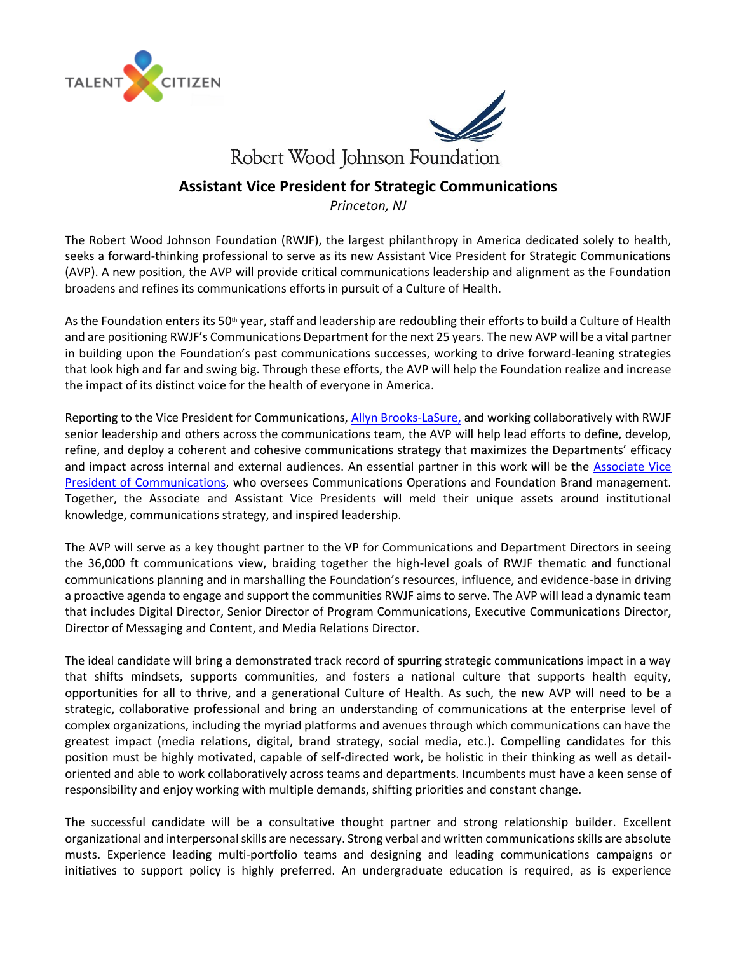



# **Assistant Vice President for Strategic Communications**

*Princeton, NJ*

The Robert Wood Johnson Foundation (RWJF), the largest philanthropy in America dedicated solely to health, seeks a forward-thinking professional to serve as its new Assistant Vice President for Strategic Communications (AVP). A new position, the AVP will provide critical communications leadership and alignment as the Foundation broadens and refines its communications efforts in pursuit of a Culture of Health.

As the Foundation enters its 50<sup>th</sup> year, staff and leadership are redoubling their efforts to build a Culture of Health and are positioning RWJF's Communications Department for the next 25 years. The new AVP will be a vital partner in building upon the Foundation's past communications successes, working to drive forward-leaning strategies that look high and far and swing big. Through these efforts, the AVP will help the Foundation realize and increase the impact of its distinct voice for the health of everyone in America.

Reporting to the Vice President for Communications, [Allyn Brooks-LaSure,](https://www.rwjf.org/en/about-rwjf/leadership-staff/B/allyn-brooks-lasure.html) and working collaboratively with RWJF senior leadership and others across the communications team, the AVP will help lead efforts to define, develop, refine, and deploy a coherent and cohesive communications strategy that maximizes the Departments' efficacy and impact across internal and external audiences. An essential partner in this work will be the [Associate Vice](https://www.rwjf.org/en/about-rwjf/leadership-staff/W/hope-a--woodhead.html)  [President of Communications,](https://www.rwjf.org/en/about-rwjf/leadership-staff/W/hope-a--woodhead.html) who oversees Communications Operations and Foundation Brand management. Together, the Associate and Assistant Vice Presidents will meld their unique assets around institutional knowledge, communications strategy, and inspired leadership.

The AVP will serve as a key thought partner to the VP for Communications and Department Directors in seeing the 36,000 ft communications view, braiding together the high-level goals of RWJF thematic and functional communications planning and in marshalling the Foundation's resources, influence, and evidence-base in driving a proactive agenda to engage and support the communities RWJF aims to serve. The AVP will lead a dynamic team that includes Digital Director, Senior Director of Program Communications, Executive Communications Director, Director of Messaging and Content, and Media Relations Director.

The ideal candidate will bring a demonstrated track record of spurring strategic communications impact in a way that shifts mindsets, supports communities, and fosters a national culture that supports health equity, opportunities for all to thrive, and a generational Culture of Health. As such, the new AVP will need to be a strategic, collaborative professional and bring an understanding of communications at the enterprise level of complex organizations, including the myriad platforms and avenues through which communications can have the greatest impact (media relations, digital, brand strategy, social media, etc.). Compelling candidates for this position must be highly motivated, capable of self-directed work, be holistic in their thinking as well as detailoriented and able to work collaboratively across teams and departments. Incumbents must have a keen sense of responsibility and enjoy working with multiple demands, shifting priorities and constant change.

The successful candidate will be a consultative thought partner and strong relationship builder. Excellent organizational and interpersonal skills are necessary. Strong verbal and written communications skills are absolute musts. Experience leading multi-portfolio teams and designing and leading communications campaigns or initiatives to support policy is highly preferred. An undergraduate education is required, as is experience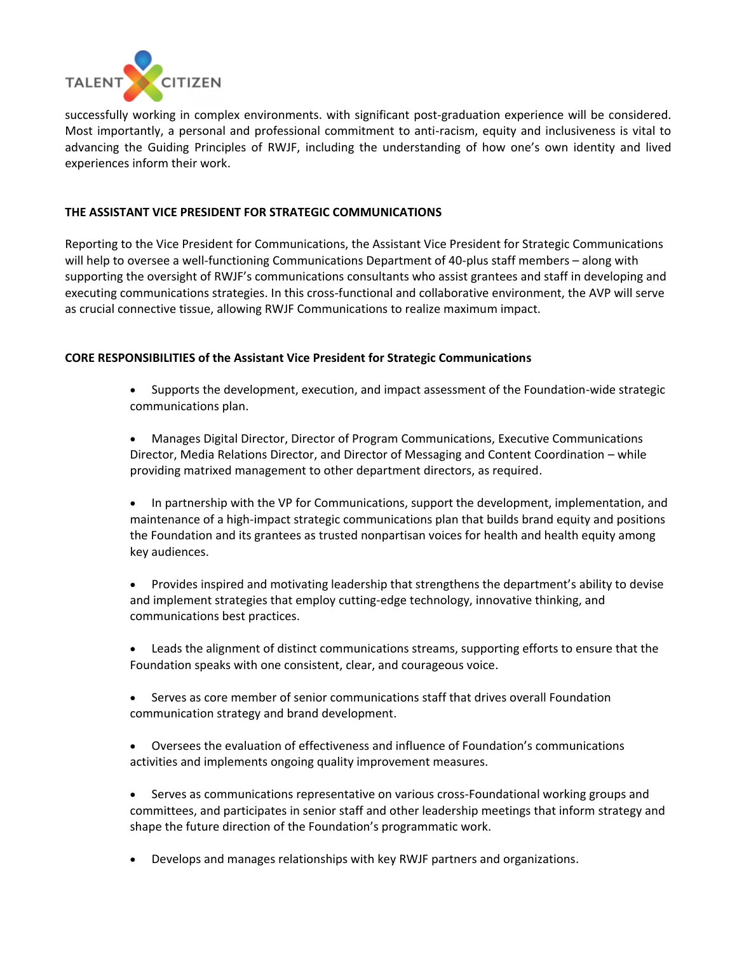

successfully working in complex environments. with significant post-graduation experience will be considered. Most importantly, a personal and professional commitment to anti-racism, equity and inclusiveness is vital to advancing the Guiding Principles of RWJF, including the understanding of how one's own identity and lived experiences inform their work.

## **THE ASSISTANT VICE PRESIDENT FOR STRATEGIC COMMUNICATIONS**

Reporting to the Vice President for Communications, the Assistant Vice President for Strategic Communications will help to oversee a well-functioning Communications Department of 40-plus staff members – along with supporting the oversight of RWJF's communications consultants who assist grantees and staff in developing and executing communications strategies. In this cross-functional and collaborative environment, the AVP will serve as crucial connective tissue, allowing RWJF Communications to realize maximum impact.

## **CORE RESPONSIBILITIES of the Assistant Vice President for Strategic Communications**

- Supports the development, execution, and impact assessment of the Foundation-wide strategic communications plan.
- Manages Digital Director, Director of Program Communications, Executive Communications Director, Media Relations Director, and Director of Messaging and Content Coordination – while providing matrixed management to other department directors, as required.
- In partnership with the VP for Communications, support the development, implementation, and maintenance of a high-impact strategic communications plan that builds brand equity and positions the Foundation and its grantees as trusted nonpartisan voices for health and health equity among key audiences.
- Provides inspired and motivating leadership that strengthens the department's ability to devise and implement strategies that employ cutting-edge technology, innovative thinking, and communications best practices.
- Leads the alignment of distinct communications streams, supporting efforts to ensure that the Foundation speaks with one consistent, clear, and courageous voice.
- Serves as core member of senior communications staff that drives overall Foundation communication strategy and brand development.
- Oversees the evaluation of effectiveness and influence of Foundation's communications activities and implements ongoing quality improvement measures.
- Serves as communications representative on various cross-Foundational working groups and committees, and participates in senior staff and other leadership meetings that inform strategy and shape the future direction of the Foundation's programmatic work.
- Develops and manages relationships with key RWJF partners and organizations.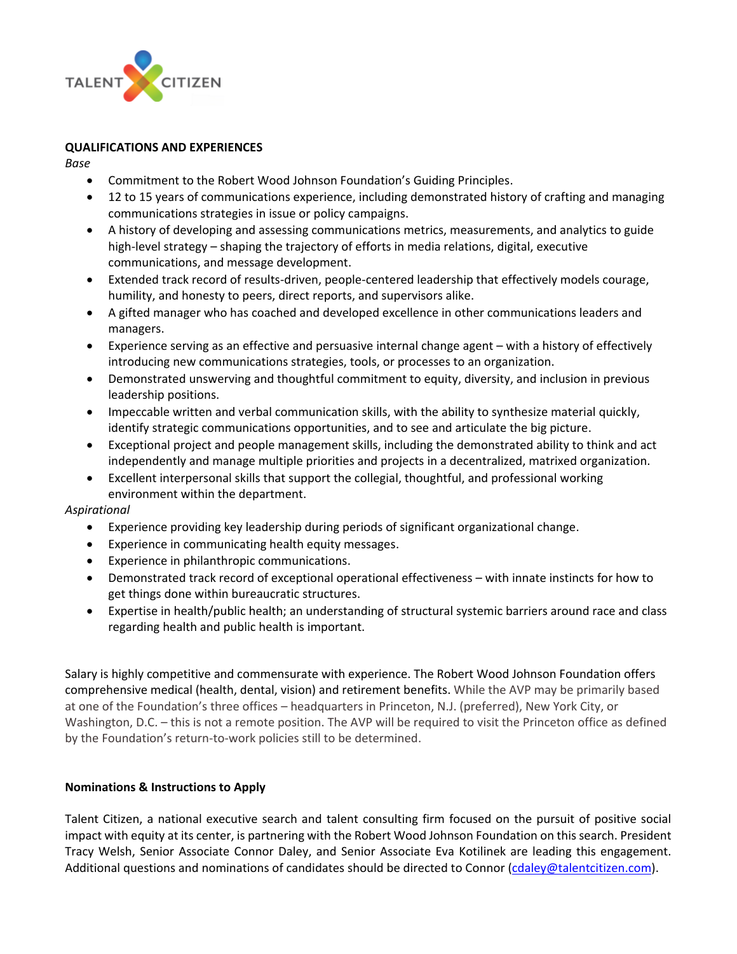

### **QUALIFICATIONS AND EXPERIENCES**

*Base*

- Commitment to the Robert Wood Johnson Foundation's Guiding Principles.
- 12 to 15 years of communications experience, including demonstrated history of crafting and managing communications strategies in issue or policy campaigns.
- A history of developing and assessing communications metrics, measurements, and analytics to guide high-level strategy – shaping the trajectory of efforts in media relations, digital, executive communications, and message development.
- Extended track record of results-driven, people-centered leadership that effectively models courage, humility, and honesty to peers, direct reports, and supervisors alike.
- A gifted manager who has coached and developed excellence in other communications leaders and managers.
- Experience serving as an effective and persuasive internal change agent with a history of effectively introducing new communications strategies, tools, or processes to an organization.
- Demonstrated unswerving and thoughtful commitment to equity, diversity, and inclusion in previous leadership positions.
- Impeccable written and verbal communication skills, with the ability to synthesize material quickly, identify strategic communications opportunities, and to see and articulate the big picture.
- Exceptional project and people management skills, including the demonstrated ability to think and act independently and manage multiple priorities and projects in a decentralized, matrixed organization.
- Excellent interpersonal skills that support the collegial, thoughtful, and professional working environment within the department.

## *Aspirational*

- Experience providing key leadership during periods of significant organizational change.
- Experience in communicating health equity messages.
- Experience in philanthropic communications.
- Demonstrated track record of exceptional operational effectiveness with innate instincts for how to get things done within bureaucratic structures.
- Expertise in health/public health; an understanding of structural systemic barriers around race and class regarding health and public health is important.

Salary is highly competitive and commensurate with experience. The Robert Wood Johnson Foundation offers comprehensive medical (health, dental, vision) and retirement benefits. While the AVP may be primarily based at one of the Foundation's three offices – headquarters in Princeton, N.J. (preferred), New York City, or Washington, D.C. – this is not a remote position. The AVP will be required to visit the Princeton office as defined by the Foundation's return-to-work policies still to be determined.

## **Nominations & Instructions to Apply**

Talent Citizen, a national executive search and talent consulting firm focused on the pursuit of positive social impact with equity at its center, is partnering with the Robert Wood Johnson Foundation on this search. President Tracy Welsh, Senior Associate Connor Daley, and Senior Associate Eva Kotilinek are leading this engagement. Additional questions and nominations of candidates should be directed to Connor [\(cdaley@talentcitizen.com\)](mailto:cdaley@talentcitizen.com).